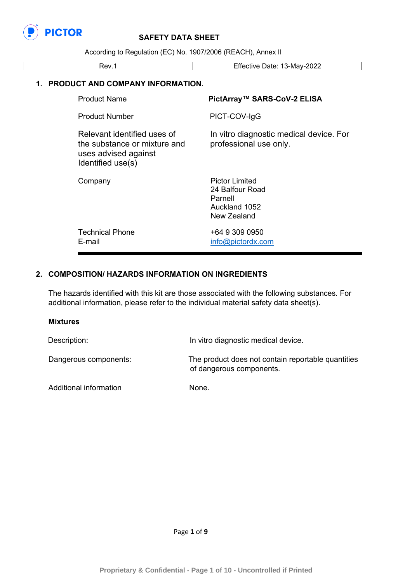

According to Regulation (EC) No. 1907/2006 (REACH), Annex II

| Rev.1                                                                                                    | Effective Date: 13-May-2022                                       |  |
|----------------------------------------------------------------------------------------------------------|-------------------------------------------------------------------|--|
| 1. PRODUCT AND COMPANY INFORMATION.                                                                      |                                                                   |  |
| <b>Product Name</b>                                                                                      | PictArray™ SARS-CoV-2 ELISA                                       |  |
| <b>Product Number</b>                                                                                    | PICT-COV-IgG                                                      |  |
| Relevant identified uses of<br>the substance or mixture and<br>uses advised against<br>Identified use(s) | In vitro diagnostic medical device. For<br>professional use only. |  |
| Company                                                                                                  | <b>Pictor Limited</b><br>24 Balfour Road<br>Parnell               |  |

Auckland 1052 New Zealand

Technical Phone  $+6493090950$ E-mail [info@pictordx.com](mailto:info@pictordx.com)

### **2. COMPOSITION/ HAZARDS INFORMATION ON INGREDIENTS**

The hazards identified with this kit are those associated with the following substances. For additional information, please refer to the individual material safety data sheet(s).

#### **Mixtures**

Description: **In vitro diagnostic medical device.** Dangerous components: The product does not contain reportable quantities of dangerous components.

Additional information None.

Page **1** of **9**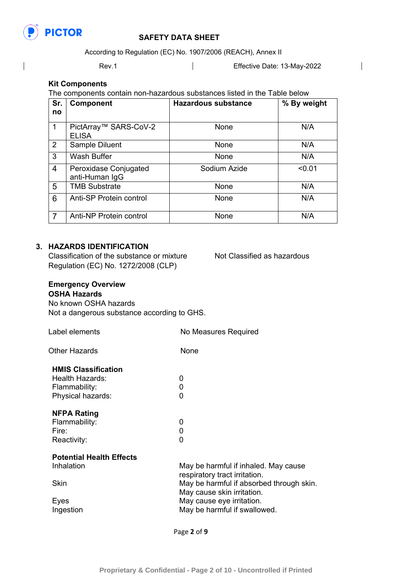

 $\overline{\phantom{a}}$ 

# **PICTOR** SAFETY DATA SHEET

According to Regulation (EC) No. 1907/2006 (REACH), Annex II

Rev.1 **Effective Date: 13-May-2022** 

 $\overline{\phantom{a}}$ 

#### **Kit Components**

The components contain non-hazardous substances listed in the Table below

| Sr.<br>no      | <b>Component</b>                        | <b>Hazardous substance</b> | % By weight |
|----------------|-----------------------------------------|----------------------------|-------------|
| 1              | PictArray™ SARS-CoV-2<br><b>ELISA</b>   | None                       | N/A         |
| 2              | Sample Diluent                          | None                       | N/A         |
| 3              | <b>Wash Buffer</b>                      | None                       | N/A         |
| 4              | Peroxidase Conjugated<br>anti-Human IgG | Sodium Azide               | < 0.01      |
| 5              | <b>TMB Substrate</b>                    | None                       | N/A         |
| 6              | Anti-SP Protein control                 | <b>None</b>                | N/A         |
| $\overline{7}$ | Anti-NP Protein control                 | None                       | N/A         |

### **3. HAZARDS IDENTIFICATION**

Classification of the substance or mixture Not Classified as hazardous Regulation (EC) No. 1272/2008 (CLP)

### **Emergency Overview**

### **OSHA Hazards**

No known OSHA hazards Not a dangerous substance according to GHS.

| Label elements                                                                      | No Measures Required                                                   |  |
|-------------------------------------------------------------------------------------|------------------------------------------------------------------------|--|
| Other Hazards                                                                       | None                                                                   |  |
| <b>HMIS Classification</b><br>Health Hazards:<br>Flammability:<br>Physical hazards: | 0<br>0<br>0                                                            |  |
| <b>NFPA Rating</b><br>Flammability:<br>Fire:<br>Reactivity:                         | 0<br>0<br>0                                                            |  |
| <b>Potential Health Effects</b><br>Inhalation                                       | May be harmful if inhaled. May cause<br>respiratory tract irritation.  |  |
| Skin                                                                                | May be harmful if absorbed through skin.<br>May cause skin irritation. |  |
| Eyes<br>Ingestion                                                                   | May cause eye irritation.<br>May be harmful if swallowed.              |  |

Page **2** of **9**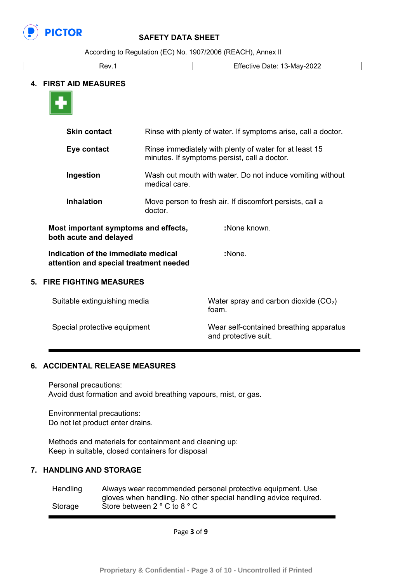

According to Regulation (EC) No. 1907/2006 (REACH), Annex II

| Rev.1 | Effective Date: 13-May-2022 |
|-------|-----------------------------|
|       |                             |

#### **4. FIRST AID MEASURES**



|                           | <b>Skin contact</b>                                                           | Rinse with plenty of water. If symptoms arise, call a doctor.<br>Rinse immediately with plenty of water for at least 15<br>minutes. If symptoms persist, call a doctor. |                                                 |
|---------------------------|-------------------------------------------------------------------------------|-------------------------------------------------------------------------------------------------------------------------------------------------------------------------|-------------------------------------------------|
|                           | Eye contact                                                                   |                                                                                                                                                                         |                                                 |
|                           | Ingestion                                                                     | Wash out mouth with water. Do not induce vomiting without<br>medical care.                                                                                              |                                                 |
|                           | <b>Inhalation</b>                                                             | Move person to fresh air. If discomfort persists, call a<br>doctor.                                                                                                     |                                                 |
|                           | Most important symptoms and effects,<br>both acute and delayed                |                                                                                                                                                                         | :None known.                                    |
|                           | Indication of the immediate medical<br>attention and special treatment needed |                                                                                                                                                                         | :None.                                          |
| 5. FIRE FIGHTING MEASURES |                                                                               |                                                                                                                                                                         |                                                 |
|                           | Suitable extinguishing media                                                  |                                                                                                                                                                         | Water spray and carbon dioxide $(CO2)$<br>foam. |
|                           | Special protective equipment                                                  |                                                                                                                                                                         | Wear self-contained breathing apparatus         |

and protective suit.

### **6. ACCIDENTAL RELEASE MEASURES**

Personal precautions: Avoid dust formation and avoid breathing vapours, mist, or gas.

Environmental precautions: Do not let product enter drains.

Methods and materials for containment and cleaning up: Keep in suitable, closed containers for disposal

### **7. HANDLING AND STORAGE**

| Handling | Always wear recommended personal protective equipment. Use       |
|----------|------------------------------------------------------------------|
|          | gloves when handling. No other special handling advice required. |
| Storage  | Store between 2 ° C to 8 ° C                                     |

Page **3** of **9**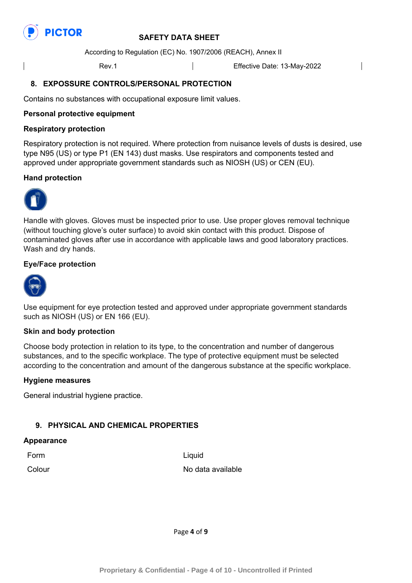

According to Regulation (EC) No. 1907/2006 (REACH), Annex II

Rev.1 **Effective Date: 13-May-2022** 

### **8. EXPOSSURE CONTROLS/PERSONAL PROTECTION**

Contains no substances with occupational exposure limit values.

#### **Personal protective equipment**

#### **Respiratory protection**

Respiratory protection is not required. Where protection from nuisance levels of dusts is desired, use type N95 (US) or type P1 (EN 143) dust masks. Use respirators and components tested and approved under appropriate government standards such as NIOSH (US) or CEN (EU).

#### **Hand protection**



Handle with gloves. Gloves must be inspected prior to use. Use proper gloves removal technique (without touching glove's outer surface) to avoid skin contact with this product. Dispose of contaminated gloves after use in accordance with applicable laws and good laboratory practices. Wash and dry hands.

#### **Eye/Face protection**



Use equipment for eye protection tested and approved under appropriate government standards such as NIOSH (US) or EN 166 (EU).

#### **Skin and body protection**

Choose body protection in relation to its type, to the concentration and number of dangerous substances, and to the specific workplace. The type of protective equipment must be selected according to the concentration and amount of the dangerous substance at the specific workplace.

#### **Hygiene measures**

General industrial hygiene practice.

### **9. PHYSICAL AND CHEMICAL PROPERTIES**

#### **Appearance**

Form **Liquid** 

Colour No data available

Page **4** of **9**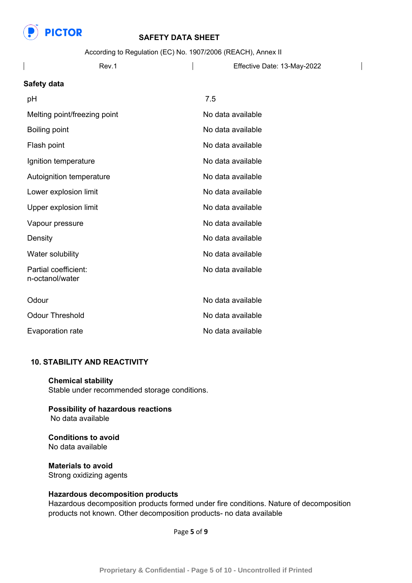

According to Regulation (EC) No. 1907/2006 (REACH), Annex II

Rev.1 **Effective Date: 13-May-2022** 

 $\overline{\phantom{a}}$ 

#### **Safety data**

| рH                                      | 7.5               |
|-----------------------------------------|-------------------|
| Melting point/freezing point            | No data available |
| <b>Boiling point</b>                    | No data available |
| Flash point                             | No data available |
| Ignition temperature                    | No data available |
| Autoignition temperature                | No data available |
| Lower explosion limit                   | No data available |
| Upper explosion limit                   | No data available |
| Vapour pressure                         | No data available |
| Density                                 | No data available |
| Water solubility                        | No data available |
| Partial coefficient:<br>n-octanol/water | No data available |
| Odour                                   | No data available |
| <b>Odour Threshold</b>                  | No data available |
| Evaporation rate                        | No data available |

### **10. STABILITY AND REACTIVITY**

**Chemical stability**  Stable under recommended storage conditions.

### **Possibility of hazardous reactions**  No data available

**Conditions to avoid**  No data available

**Materials to avoid**  Strong oxidizing agents

### **Hazardous decomposition products**

Hazardous decomposition products formed under fire conditions. Nature of decomposition products not known. Other decomposition products- no data available

Page **5** of **9**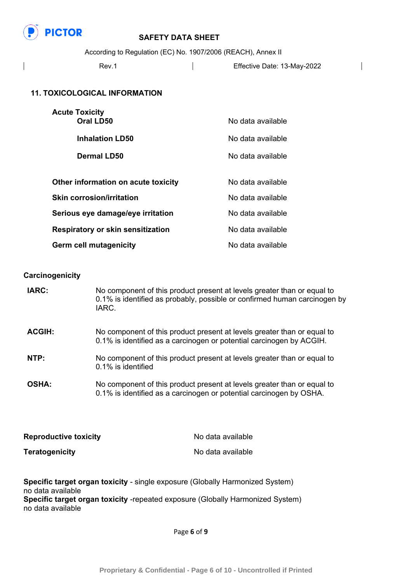

According to Regulation (EC) No. 1907/2006 (REACH), Annex II

Rev.1 **Effective Date: 13-May-2022** 

 $\overline{\phantom{a}}$ 

### **11. TOXICOLOGICAL INFORMATION**

| <b>Acute Toxicity</b><br><b>Oral LD50</b> | No data available |
|-------------------------------------------|-------------------|
| <b>Inhalation LD50</b>                    | No data available |
| <b>Dermal LD50</b>                        | No data available |
|                                           |                   |
| Other information on acute toxicity       | No data available |
| <b>Skin corrosion/irritation</b>          | No data available |
| Serious eye damage/eye irritation         | No data available |
| <b>Respiratory or skin sensitization</b>  | No data available |
| <b>Germ cell mutagenicity</b>             | No data available |

#### **Carcinogenicity**

| IARC:         | No component of this product present at levels greater than or equal to<br>0.1% is identified as probably, possible or confirmed human carcinogen by<br>IARC. |
|---------------|---------------------------------------------------------------------------------------------------------------------------------------------------------------|
| <b>ACGIH:</b> | No component of this product present at levels greater than or equal to<br>0.1% is identified as a carcinogen or potential carcinogen by ACGIH.               |
| NTP:          | No component of this product present at levels greater than or equal to<br>0.1% is identified                                                                 |
| <b>OSHA:</b>  | No component of this product present at levels greater than or equal to<br>0.1% is identified as a carcinogen or potential carcinogen by OSHA.                |

| <b>Reproductive toxicity</b> | No data available |
|------------------------------|-------------------|
| <b>Teratogenicity</b>        | No data available |

**Specific target organ toxicity** - single exposure (Globally Harmonized System) no data available **Specific target organ toxicity** -repeated exposure (Globally Harmonized System) no data available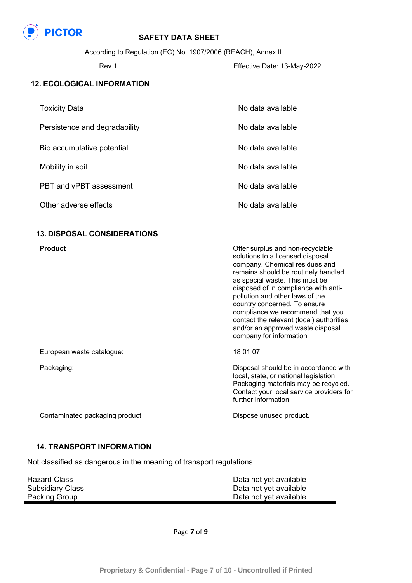

According to Regulation (EC) No. 1907/2006 (REACH), Annex II

| Rev.1 | Effective Date: 13-May-2022 |  |
|-------|-----------------------------|--|
|-------|-----------------------------|--|

#### **12. ECOLOGICAL INFORMATION**

| <b>Toxicity Data</b>          | No data available |
|-------------------------------|-------------------|
| Persistence and degradability | No data available |
| Bio accumulative potential    | No data available |
| Mobility in soil              | No data available |
| PBT and vPBT assessment       | No data available |
| Other adverse effects         | No data available |

### **13. DISPOSAL CONSIDERATIONS**

| <b>Product</b>                 | Offer surplus and non-recyclable<br>solutions to a licensed disposal<br>company. Chemical residues and<br>remains should be routinely handled<br>as special waste. This must be<br>disposed of in compliance with anti-<br>pollution and other laws of the<br>country concerned. To ensure<br>compliance we recommend that you<br>contact the relevant (local) authorities<br>and/or an approved waste disposal<br>company for information |
|--------------------------------|--------------------------------------------------------------------------------------------------------------------------------------------------------------------------------------------------------------------------------------------------------------------------------------------------------------------------------------------------------------------------------------------------------------------------------------------|
| European waste catalogue:      | 18 01 07.                                                                                                                                                                                                                                                                                                                                                                                                                                  |
| Packaging:                     | Disposal should be in accordance with<br>local, state, or national legislation.<br>Packaging materials may be recycled.<br>Contact your local service providers for<br>further information.                                                                                                                                                                                                                                                |
| Contaminated packaging product | Dispose unused product.                                                                                                                                                                                                                                                                                                                                                                                                                    |

#### **14. TRANSPORT INFORMATION**

Not classified as dangerous in the meaning of transport regulations.

| <b>Hazard Class</b>     | Data not yet available |
|-------------------------|------------------------|
| <b>Subsidiary Class</b> | Data not yet available |
| Packing Group           | Data not yet available |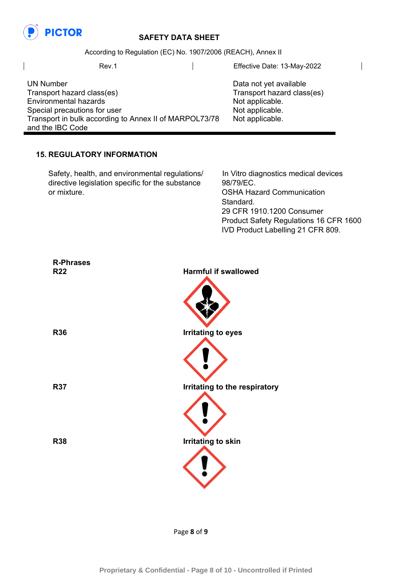

UN Number

and the IBC Code

Transport hazard class(es) Environmental hazards Special precautions for user

## **PICTOR** SAFETY DATA SHEET

According to Regulation (EC) No. 1907/2006 (REACH), Annex II

Transport in bulk according to Annex II of MARPOL73/78

Rev.1 **Effective Date: 13-May-2022** 

Data not yet available Transport hazard class(es) Not applicable. Not applicable. Not applicable.

### **15. REGULATORY INFORMATION**

Safety, health, and environmental regulations/ In Vitro diagnostics medical devices directive legislation specific for the substance 98/79/EC. or mixture. OSHA Hazard Communication

 Standard. 29 CFR 1910.1200 Consumer Product Safety Regulations 16 CFR 1600 IVD Product Labelling 21 CFR 809.

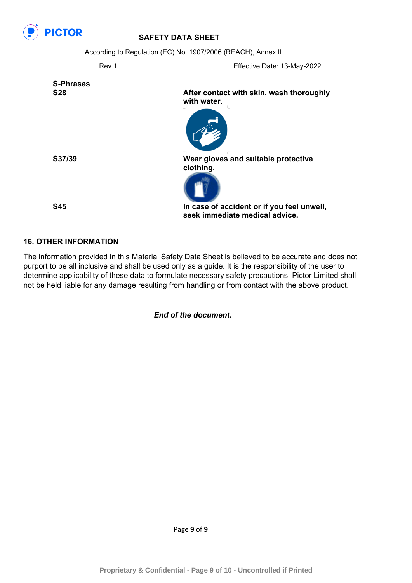

 $\overline{\phantom{a}}$ 

| According to Regulation (EC) No. 1907/2006 (REACH), Annex II |             |                                                                              |  |  |
|--------------------------------------------------------------|-------------|------------------------------------------------------------------------------|--|--|
| Rev.1                                                        |             | Effective Date: 13-May-2022                                                  |  |  |
| <b>S-Phrases</b><br><b>S28</b>                               | with water. | After contact with skin, wash thoroughly                                     |  |  |
|                                                              |             |                                                                              |  |  |
| S37/39                                                       | clothing.   | Wear gloves and suitable protective                                          |  |  |
| <b>S45</b>                                                   |             | In case of accident or if you feel unwell,<br>seek immediate medical advice. |  |  |

 $\overline{\phantom{a}}$ 

### **16. OTHER INFORMATION**

The information provided in this Material Safety Data Sheet is believed to be accurate and does not purport to be all inclusive and shall be used only as a guide. It is the responsibility of the user to determine applicability of these data to formulate necessary safety precautions. Pictor Limited shall not be held liable for any damage resulting from handling or from contact with the above product.

*End of the document.*

Page **9** of **9**